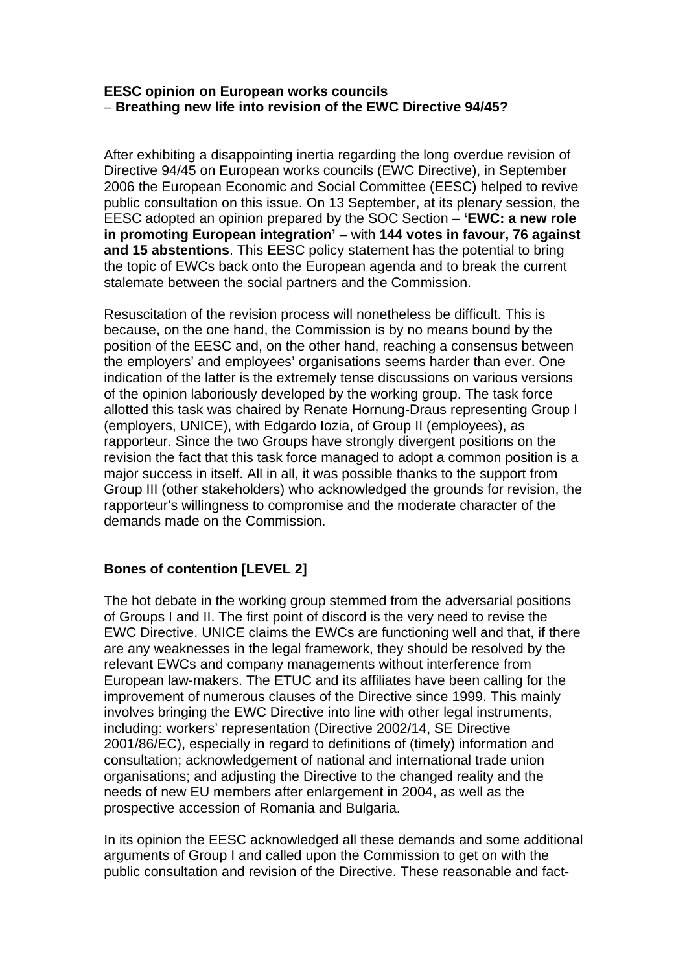## **EESC opinion on European works councils**  – **Breathing new life into revision of the EWC Directive 94/45?**

After exhibiting a disappointing inertia regarding the long overdue revision of Directive 94/45 on European works councils (EWC Directive), in September 2006 the European Economic and Social Committee (EESC) helped to revive public consultation on this issue. On 13 September, at its plenary session, the EESC adopted an opinion prepared by the SOC Section – **'EWC: a new role in promoting European integration'** – with **144 votes in favour, 76 against and 15 abstentions**. This EESC policy statement has the potential to bring the topic of EWCs back onto the European agenda and to break the current stalemate between the social partners and the Commission.

Resuscitation of the revision process will nonetheless be difficult. This is because, on the one hand, the Commission is by no means bound by the position of the EESC and, on the other hand, reaching a consensus between the employers' and employees' organisations seems harder than ever. One indication of the latter is the extremely tense discussions on various versions of the opinion laboriously developed by the working group. The task force allotted this task was chaired by Renate Hornung-Draus representing Group I (employers, UNICE), with Edgardo Iozia, of Group II (employees), as rapporteur. Since the two Groups have strongly divergent positions on the revision the fact that this task force managed to adopt a common position is a major success in itself. All in all, it was possible thanks to the support from Group III (other stakeholders) who acknowledged the grounds for revision, the rapporteur's willingness to compromise and the moderate character of the demands made on the Commission.

## **Bones of contention [LEVEL 2]**

The hot debate in the working group stemmed from the adversarial positions of Groups I and II. The first point of discord is the very need to revise the EWC Directive. UNICE claims the EWCs are functioning well and that, if there are any weaknesses in the legal framework, they should be resolved by the relevant EWCs and company managements without interference from European law-makers. The ETUC and its affiliates have been calling for the improvement of numerous clauses of the Directive since 1999. This mainly involves bringing the EWC Directive into line with other legal instruments, including: workers' representation (Directive 2002/14, SE Directive 2001/86/EC), especially in regard to definitions of (timely) information and consultation; acknowledgement of national and international trade union organisations; and adjusting the Directive to the changed reality and the needs of new EU members after enlargement in 2004, as well as the prospective accession of Romania and Bulgaria.

In its opinion the EESC acknowledged all these demands and some additional arguments of Group I and called upon the Commission to get on with the public consultation and revision of the Directive. These reasonable and fact